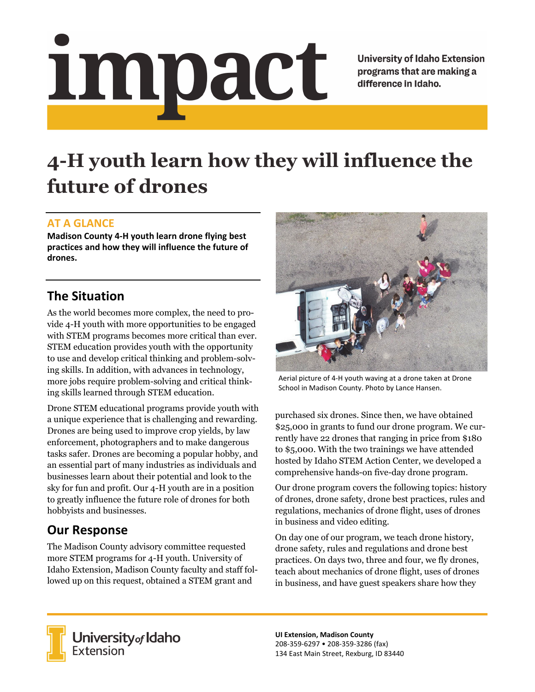# impact

**University of Idaho Extension** programs that are making a difference in Idaho.

# **4-H youth learn how they will influence the future of drones**

### **AT A GLANCE**

**Madison County 4‐H youth learn drone flying best practices and how they will influence the future of drones.**

### **The Situation**

As the world becomes more complex, the need to provide 4-H youth with more opportunities to be engaged with STEM programs becomes more critical than ever. STEM education provides youth with the opportunity to use and develop critical thinking and problem-solving skills. In addition, with advances in technology, more jobs require problem-solving and critical thinking skills learned through STEM education.

Drone STEM educational programs provide youth with a unique experience that is challenging and rewarding. Drones are being used to improve crop yields, by law enforcement, photographers and to make dangerous tasks safer. Drones are becoming a popular hobby, and an essential part of many industries as individuals and businesses learn about their potential and look to the sky for fun and profit. Our 4-H youth are in a position to greatly influence the future role of drones for both hobbyists and businesses.

## **Our Response**

The Madison County advisory committee requested more STEM programs for 4-H youth. University of Idaho Extension, Madison County faculty and staff followed up on this request, obtained a STEM grant and



Aerial picture of 4‐H youth waving at a drone taken at Drone School in Madison County. Photo by Lance Hansen.

purchased six drones. Since then, we have obtained \$25,000 in grants to fund our drone program. We currently have 22 drones that ranging in price from \$180 to \$5,000. With the two trainings we have attended hosted by Idaho STEM Action Center, we developed a comprehensive hands-on five-day drone program.

Our drone program covers the following topics: history of drones, drone safety, drone best practices, rules and regulations, mechanics of drone flight, uses of drones in business and video editing.

On day one of our program, we teach drone history, drone safety, rules and regulations and drone best practices. On days two, three and four, we fly drones, teach about mechanics of drone flight, uses of drones in business, and have guest speakers share how they



**University** of Idaho<br>Extension

**UI Extension, Madison County** 208‐359‐6297 • 208‐359‐3286 (fax) 134 East Main Street, Rexburg, ID 83440